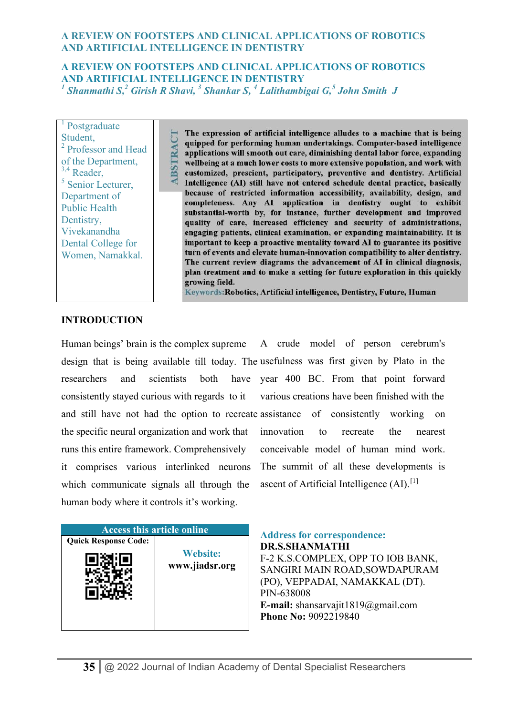## **A REVIEW ON FOOTSTEPS AND CLINICAL APPLICATIONS OF ROBOTICS AND ARTIFICIAL INTELLIGENCE IN DENTISTRY**  *1 Shanmathi S,<sup>2</sup> Girish R Shavi, <sup>3</sup> Shankar S, <sup>4</sup> Lalithambigai G,<sup>5</sup> John Smith J*

<sup>1</sup> Postgraduate Student, 2 Professor and Head of the Department, <sup>3,4</sup> Reader, 5 Senior Lecturer, Department of Public Health Dentistry, Vivekanandha Dental College for Women, Namakkal.

**BSTRACT** 

The expression of artificial intelligence alludes to a machine that is being quipped for performing human undertakings. Computer-based intelligence applications will smooth out care, diminishing dental labor force, expanding wellbeing at a much lower costs to more extensive population, and work with customized, prescient, participatory, preventive and dentistry. Artificial Intelligence (AI) still have not entered schedule dental practice, basically because of restricted information accessibility, availability, design, and completeness. Any AI application in dentistry ought to exhibit substantial-worth by, for instance, further development and improved quality of care, increased efficiency and security of administrations, engaging patients, clinical examination, or expanding maintainability. It is important to keep a proactive mentality toward AI to guarantee its positive turn of events and elevate human-innovation compatibility to alter dentistry. The current review diagrams the advancement of AI in clinical diagnosis, plan treatment and to make a setting for future exploration in this quickly growing field.

Keywords: Robotics, Artificial intelligence, Dentistry, Future, Human

#### **INTRODUCTION**

Human beings' brain is the complex supreme A crude model of person cerebrum's design that is being available till today. The usefulness was first given by Plato in the researchers and scientists both consistently stayed curious with regards to it and still have not had the option to recreate assistance of consistently working on the specific neural organization and work that runs this entire framework. Comprehensively it comprises various interlinked neurons which communicate signals all through the human body where it controls it's working. have year 400 BC. From that point forward various creations have been finished with the innovation to recreate the nearest conceivable model of human mind work. The summit of all these developments is ascent of Artificial Intelligence  $(AI)$ .<sup>[1]</sup>

| <b>Access this article online</b> |                                   |
|-----------------------------------|-----------------------------------|
| <b>Quick Response Code:</b>       | <b>Website:</b><br>www.jiadsr.org |

**Address for correspondence: DR.S.SHANMATHI**  F-2 K.S.COMPLEX, OPP TO IOB BANK, SANGIRI MAIN ROAD,SOWDAPURAM (PO), VEPPADAI, NAMAKKAL (DT). PIN-638008 **E-mail:** shansarvajit1819@gmail.com **Phone No:** 9092219840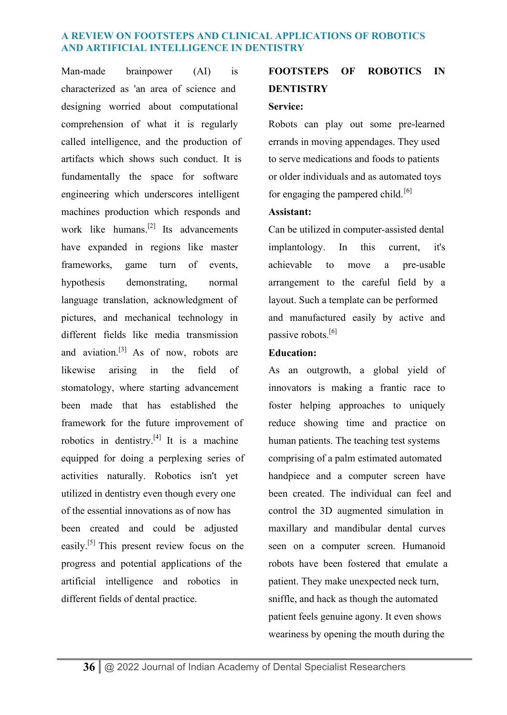Man-made brainpower (AI) is characterized as 'an area of science and designing worried about computational comprehension of what it is regularly called intelligence, and the production of artifacts which shows such conduct. It is fundamentally the space for software engineering which underscores intelligent machines production which responds and work like humans.<sup>[2]</sup> Its advancements have expanded in regions like master frameworks, game turn of events, hypothesis demonstrating, normal language translation, acknowledgment of pictures, and mechanical technology in different fields like media transmission and aviation.<sup>[3]</sup> As of now, robots are likewise arising in the field of stomatology, where starting advancement been made that has established the framework for the future improvement of robotics in dentistry.<sup>[4]</sup> It is a machine equipped for doing a perplexing series of activities naturally. Robotics isn't yet utilized in dentistry even though every one of the essential innovations as of now has been created and could be adjusted easily.<sup>[5]</sup> This present review focus on the progress and potential applications of the artificial intelligence and robotics in different fields of dental practice.

# **FOOTSTEPS OF ROBOTICS IN DENTISTRY**

#### **Service:**

Robots can play out some pre-learned errands in moving appendages. They used to serve medications and foods to patients or older individuals and as automated toys for engaging the pampered child.<sup>[6]</sup>

#### **Assistant:**

Can be utilized in computer-assisted dental implantology. In this current, it's achievable to move a pre-usable arrangement to the careful field by a layout. Such a template can be performed and manufactured easily by active and passive robots.<sup>[6]</sup>

## **Education:**

As an outgrowth, a global yield of innovators is making a frantic race to foster helping approaches to uniquely reduce showing time and practice on human patients. The teaching test systems comprising of a palm estimated automated handpiece and a computer screen have been created. The individual can feel and control the 3D augmented simulation in maxillary and mandibular dental curves seen on a computer screen. Humanoid robots have been fostered that emulate a patient. They make unexpected neck turn, sniffle, and hack as though the automated patient feels genuine agony. It even shows weariness by opening the mouth during the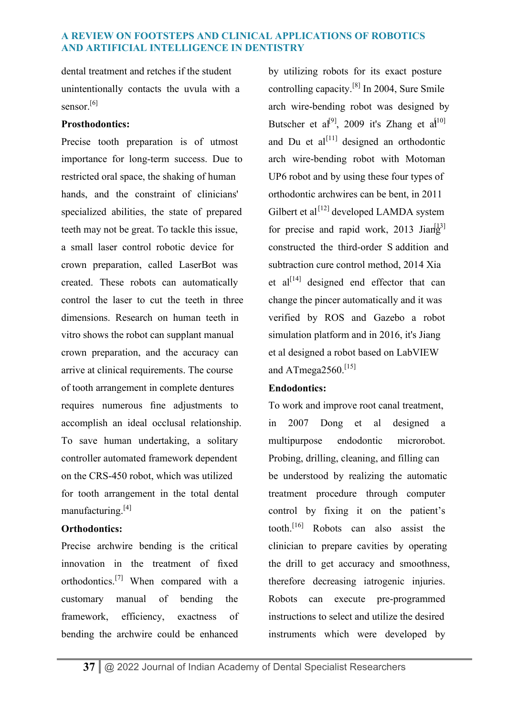dental treatment and retches if the student unintentionally contacts the uvula with a sensor<sup>[6]</sup>

## **Prosthodontics:**

Precise tooth preparation is of utmost importance for long-term success. Due to restricted oral space, the shaking of human hands, and the constraint of clinicians' specialized abilities, the state of prepared teeth may not be great. To tackle this issue, a small laser control robotic device for crown preparation, called LaserBot was created. These robots can automatically control the laser to cut the teeth in three dimensions. Research on human teeth in vitro shows the robot can supplant manual crown preparation, and the accuracy can arrive at clinical requirements. The course of tooth arrangement in complete dentures requires numerous fine adjustments to accomplish an ideal occlusal relationship. To save human undertaking, a solitary controller automated framework dependent on the CRS-450 robot, which was utilized for tooth arrangement in the total dental manufacturing.[4]

# **Orthodontics:**

Precise archwire bending is the critical innovation in the treatment of fixed orthodontics.[7] When compared with a customary manual of bending the framework, efficiency, exactness of bending the archwire could be enhanced

by utilizing robots for its exact posture controlling capacity.[8] In 2004, Sure Smile arch wire-bending robot was designed by Butscher et al<sup>[9]</sup>, 2009 it's Zhang et al<sup>[10]</sup> and Du et  $al^{[11]}$  designed an orthodontic arch wire-bending robot with Motoman UP6 robot and by using these four types of orthodontic archwires can be bent, in 2011 Gilbert et al<sup>[12]</sup> developed LAMDA system for precise and rapid work, 2013 Jian $\frac{13}{2}$ constructed the third-order S addition and subtraction cure control method, 2014 Xia et al<sup>[14]</sup> designed end effector that can change the pincer automatically and it was verified by ROS and Gazebo a robot simulation platform and in 2016, it's Jiang et al designed a robot based on LabVIEW and ATmega $2560$ <sup>[15]</sup>

# **Endodontics:**

To work and improve root canal treatment, in 2007 Dong et al designed a multipurpose endodontic microrobot. Probing, drilling, cleaning, and filling can be understood by realizing the automatic treatment procedure through computer control by fixing it on the patient's tooth.[16] Robots can also assist the clinician to prepare cavities by operating the drill to get accuracy and smoothness, therefore decreasing iatrogenic injuries. Robots can execute pre-programmed instructions to select and utilize the desired instruments which were developed by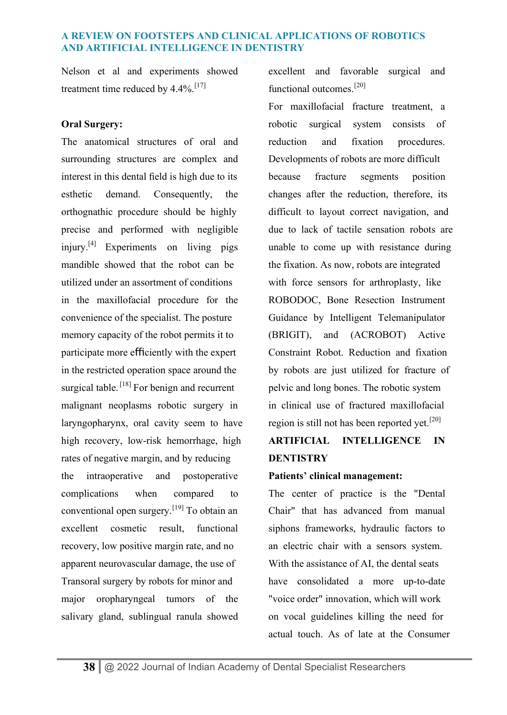Nelson et al and experiments showed treatment time reduced by  $4.4\%$ .<sup>[17]</sup>

## **Oral Surgery:**

The anatomical structures of oral and surrounding structures are complex and interest in this dental field is high due to its esthetic demand. Consequently, the orthognathic procedure should be highly precise and performed with negligible injury.<sup>[4]</sup> Experiments on living pigs mandible showed that the robot can be utilized under an assortment of conditions in the maxillofacial procedure for the convenience of the specialist. The posture memory capacity of the robot permits it to participate more efficiently with the expert in the restricted operation space around the surgical table.<sup>[18]</sup> For benign and recurrent malignant neoplasms robotic surgery in laryngopharynx, oral cavity seem to have high recovery, low-risk hemorrhage, high rates of negative margin, and by reducing the intraoperative and postoperative complications when compared to conventional open surgery.[19] To obtain an excellent cosmetic result, functional recovery, low positive margin rate, and no apparent neurovascular damage, the use of Transoral surgery by robots for minor and major oropharyngeal tumors of the salivary gland, sublingual ranula showed

excellent and favorable surgical and functional outcomes.[20]

For maxillofacial fracture treatment, a robotic surgical system consists of reduction and fixation procedures. Developments of robots are more difficult because fracture segments position changes after the reduction, therefore, its difficult to layout correct navigation, and due to lack of tactile sensation robots are unable to come up with resistance during the fixation. As now, robots are integrated with force sensors for arthroplasty, like ROBODOC, Bone Resection Instrument Guidance by Intelligent Telemanipulator (BRIGIT), and (ACROBOT) Active Constraint Robot. Reduction and fixation by robots are just utilized for fracture of pelvic and long bones. The robotic system in clinical use of fractured maxillofacial region is still not has been reported yet.<sup>[20]</sup>

# **ARTIFICIAL INTELLIGENCE IN DENTISTRY**

## **Patients' clinical management:**

The center of practice is the "Dental Chair" that has advanced from manual siphons frameworks, hydraulic factors to an electric chair with a sensors system. With the assistance of AI, the dental seats have consolidated a more up-to-date "voice order" innovation, which will work on vocal guidelines killing the need for actual touch. As of late at the Consumer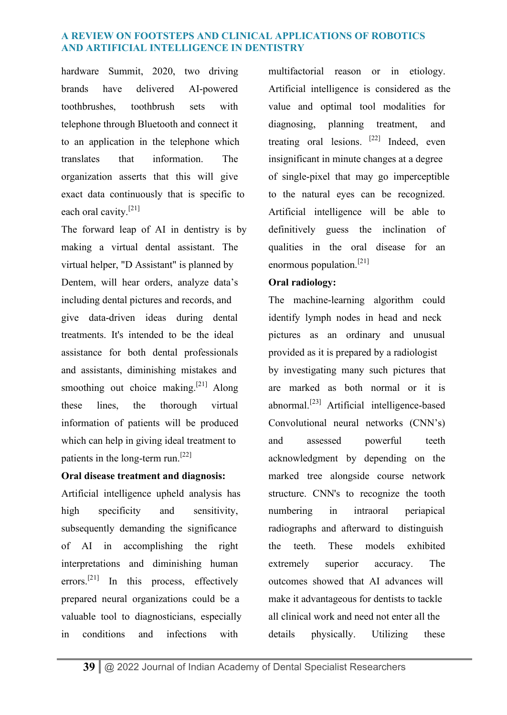hardware Summit, 2020, two driving brands have delivered AI-powered toothbrushes, toothbrush sets with telephone through Bluetooth and connect it to an application in the telephone which translates that information. The organization asserts that this will give exact data continuously that is specific to each oral cavity.[21]

The forward leap of AI in dentistry is by making a virtual dental assistant. The virtual helper, "D Assistant" is planned by Dentem, will hear orders, analyze data's including dental pictures and records, and give data-driven ideas during dental treatments. It's intended to be the ideal assistance for both dental professionals and assistants, diminishing mistakes and smoothing out choice making.<sup>[21]</sup> Along these lines, the thorough virtual information of patients will be produced which can help in giving ideal treatment to patients in the long-term run.[22]

## **Oral disease treatment and diagnosis:**

Artificial intelligence upheld analysis has high specificity and sensitivity, subsequently demanding the significance of AI in accomplishing the right interpretations and diminishing human errors.<sup>[21]</sup> In this process, effectively prepared neural organizations could be a valuable tool to diagnosticians, especially in conditions and infections with

multifactorial reason or in etiology. Artificial intelligence is considered as the value and optimal tool modalities for diagnosing, planning treatment, and treating oral lesions.  $[22]$  Indeed, even insignificant in minute changes at a degree of single-pixel that may go imperceptible to the natural eyes can be recognized. Artificial intelligence will be able to definitively guess the inclination of qualities in the oral disease for an enormous population.<sup>[21]</sup>

## **Oral radiology:**

The machine-learning algorithm could identify lymph nodes in head and neck pictures as an ordinary and unusual provided as it is prepared by a radiologist by investigating many such pictures that are marked as both normal or it is abnormal.<sup>[23]</sup> Artificial intelligence-based Convolutional neural networks (CNN's) and assessed powerful teeth acknowledgment by depending on the marked tree alongside course network structure. CNN's to recognize the tooth numbering in intraoral periapical radiographs and afterward to distinguish the teeth. These models exhibited extremely superior accuracy. The outcomes showed that AI advances will make it advantageous for dentists to tackle all clinical work and need not enter all the details physically. Utilizing these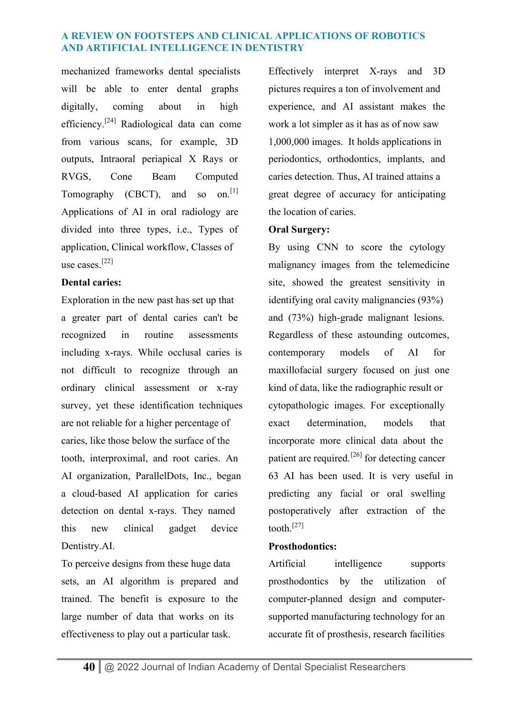mechanized frameworks dental specialists will be able to enter dental graphs digitally, coming about in high efficiency.<sup>[24]</sup> Radiological data can come from various scans, for example, 3D outputs, Intraoral periapical X Rays or RVGS, Cone Beam Computed Tomography (CBCT), and so on.<sup>[1]</sup> Applications of AI in oral radiology are divided into three types, i.e., Types of application, Clinical workflow, Classes of use cases. [22]

## **Dental caries:**

Exploration in the new past has set up that a greater part of dental caries can't be recognized in routine assessments including x-rays. While occlusal caries is not difficult to recognize through an ordinary clinical assessment or x-ray survey, yet these identification techniques are not reliable for a higher percentage of caries, like those below the surface of the tooth, interproximal, and root caries. An AI organization, ParallelDots, Inc., began a cloud-based AI application for caries detection on dental x-rays. They named this new clinical gadget device Dentistry.AI.

To perceive designs from these huge data sets, an AI algorithm is prepared and trained. The benefit is exposure to the large number of data that works on its effectiveness to play out a particular task.

Effectively interpret X-rays and 3D pictures requires a ton of involvement and experience, and AI assistant makes the work a lot simpler as it has as of now saw 1,000,000 images. It holds applications in periodontics, orthodontics, implants, and caries detection. Thus, AI trained attains a great degree of accuracy for anticipating the location of caries.

## **Oral Surgery:**

By using CNN to score the cytology malignancy images from the telemedicine site, showed the greatest sensitivity in identifying oral cavity malignancies (93%) and (73%) high-grade malignant lesions. Regardless of these astounding outcomes, contemporary models of AI for maxillofacial surgery focused on just one kind of data, like the radiographic result or cytopathologic images. For exceptionally exact determination, models that incorporate more clinical data about the patient are required.[26] for detecting cancer 63 AI has been used. It is very useful in predicting any facial or oral swelling postoperatively after extraction of the tooth $^{[27]}$ 

## **Prosthodontics:**

Artificial intelligence supports prosthodontics by the utilization of computer-planned design and computersupported manufacturing technology for an accurate fit of prosthesis, research facilities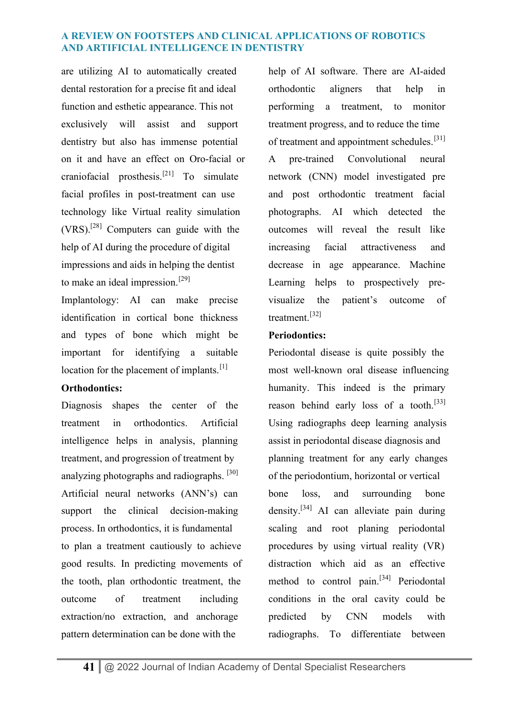are utilizing AI to automatically created dental restoration for a precise fit and ideal function and esthetic appearance. This not exclusively will assist and support dentistry but also has immense potential on it and have an effect on Oro-facial or craniofacial prosthesis.<sup>[21]</sup> To simulate facial profiles in post-treatment can use technology like Virtual reality simulation  $(VRS)$ .<sup>[28]</sup> Computers can guide with the help of AI during the procedure of digital impressions and aids in helping the dentist to make an ideal impression.<sup>[29]</sup>

Implantology: AI can make precise identification in cortical bone thickness and types of bone which might be important for identifying a suitable location for the placement of implants.<sup>[1]</sup>

## **Orthodontics:**

Diagnosis shapes the center of the treatment in orthodontics. Artificial intelligence helps in analysis, planning treatment, and progression of treatment by analyzing photographs and radiographs. <sup>[30]</sup> Artificial neural networks (ANN's) can support the clinical decision-making process. In orthodontics, it is fundamental to plan a treatment cautiously to achieve good results. In predicting movements of the tooth, plan orthodontic treatment, the outcome of treatment including extraction/no extraction, and anchorage pattern determination can be done with the

help of AI software. There are AI-aided orthodontic aligners that help in performing a treatment, to monitor treatment progress, and to reduce the time of treatment and appointment schedules.<sup>[31]</sup> A pre-trained Convolutional neural network (CNN) model investigated pre and post orthodontic treatment facial photographs. AI which detected the outcomes will reveal the result like increasing facial attractiveness and decrease in age appearance. Machine Learning helps to prospectively previsualize the patient's outcome of treatment<sup>[32]</sup>

# **Periodontics:**

Periodontal disease is quite possibly the most well-known oral disease influencing humanity. This indeed is the primary reason behind early loss of a tooth.<sup>[33]</sup> Using radiographs deep learning analysis assist in periodontal disease diagnosis and planning treatment for any early changes of the periodontium, horizontal or vertical bone loss, and surrounding bone density.<sup>[34]</sup> AI can alleviate pain during scaling and root planing periodontal procedures by using virtual reality (VR) distraction which aid as an effective method to control pain.<sup>[34]</sup> Periodontal conditions in the oral cavity could be predicted by CNN models with radiographs. To differentiate between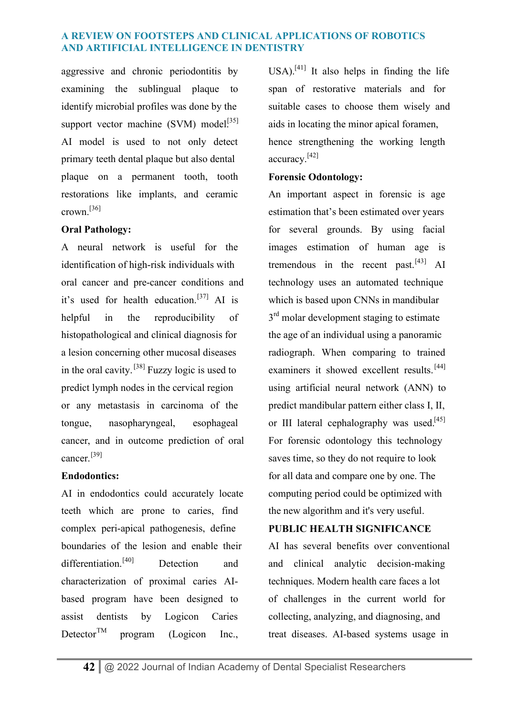aggressive and chronic periodontitis by examining the sublingual plaque to identify microbial profiles was done by the support vector machine  $(SVM) \text{ model}^{[35]}$ AI model is used to not only detect primary teeth dental plaque but also dental plaque on a permanent tooth, tooth restorations like implants, and ceramic crown.[36]

## **Oral Pathology:**

A neural network is useful for the identification of high-risk individuals with oral cancer and pre-cancer conditions and it's used for health education.<sup>[37]</sup> AI is helpful in the reproducibility of histopathological and clinical diagnosis for a lesion concerning other mucosal diseases in the oral cavity.[38] Fuzzy logic is used to predict lymph nodes in the cervical region or any metastasis in carcinoma of the tongue, nasopharyngeal, esophageal cancer, and in outcome prediction of oral cancer<sup>[39]</sup>

## **Endodontics:**

AI in endodontics could accurately locate teeth which are prone to caries, find complex peri-apical pathogenesis, define boundaries of the lesion and enable their differentiation.<sup>[40]</sup> Detection and characterization of proximal caries AIbased program have been designed to assist dentists by Logicon Caries Detector<sup>TM</sup> program (Logicon Inc.,

 $USA$ <sup>[41]</sup> It also helps in finding the life span of restorative materials and for suitable cases to choose them wisely and aids in locating the minor apical foramen, hence strengthening the working length accuracy. [42]

## **Forensic Odontology:**

An important aspect in forensic is age estimation that's been estimated over years for several grounds. By using facial images estimation of human age is tremendous in the recent past. $[43]$  AI technology uses an automated technique which is based upon CNNs in mandibular 3<sup>rd</sup> molar development staging to estimate the age of an individual using a panoramic radiograph. When comparing to trained examiners it showed excellent results.<sup>[44]</sup> using artificial neural network (ANN) to predict mandibular pattern either class I, II, or III lateral cephalography was used.<sup>[45]</sup> For forensic odontology this technology saves time, so they do not require to look for all data and compare one by one. The computing period could be optimized with the new algorithm and it's very useful.

# **PUBLIC HEALTH SIGNIFICANCE**

AI has several benefits over conventional and clinical analytic decision-making techniques. Modern health care faces a lot of challenges in the current world for collecting, analyzing, and diagnosing, and treat diseases. AI-based systems usage in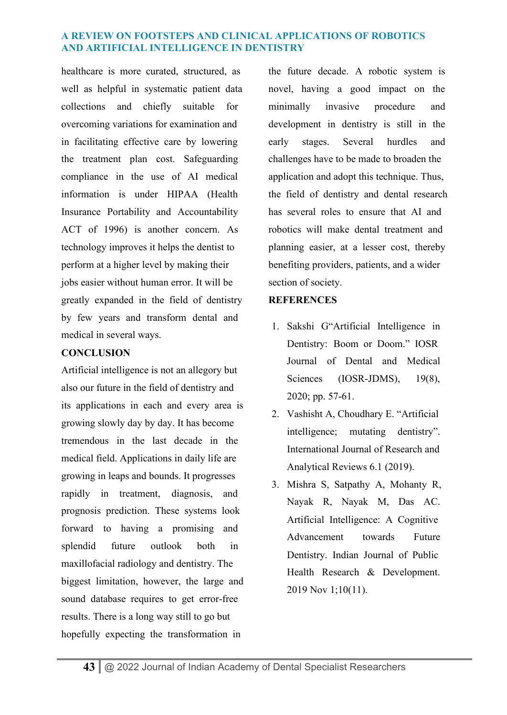healthcare is more curated, structured, as well as helpful in systematic patient data collections and chiefly suitable for overcoming variations for examination and in facilitating effective care by lowering the treatment plan cost. Safeguarding compliance in the use of AI medical information is under HIPAA (Health Insurance Portability and Accountability ACT of 1996) is another concern. As technology improves it helps the dentist to perform at a higher level by making their jobs easier without human error. It will be greatly expanded in the field of dentistry by few years and transform dental and medical in several ways.

## **CONCLUSION**

Artificial intelligence is not an allegory but also our future in the field of dentistry and its applications in each and every area is growing slowly day by day. It has become tremendous in the last decade in the medical field. Applications in daily life are growing in leaps and bounds. It progresses rapidly in treatment, diagnosis, and prognosis prediction. These systems look forward to having a promising and splendid future outlook both in maxillofacial radiology and dentistry. The biggest limitation, however, the large and sound database requires to get error-free results. There is a long way still to go but hopefully expecting the transformation in

the future decade. A robotic system is novel, having a good impact on the minimally invasive procedure and development in dentistry is still in the early stages. Several hurdles and challenges have to be made to broaden the application and adopt this technique. Thus, the field of dentistry and dental research has several roles to ensure that AI and robotics will make dental treatment and planning easier, at a lesser cost, thereby benefiting providers, patients, and a wider section of society.

## **REFERENCES**

- 1. Sakshi G"Artificial Intelligence in Dentistry: Boom or Doom." IOSR Journal of Dental and Medical Sciences (IOSR-JDMS), 19(8), 2020; pp. 57-61.
- 2. Vashisht A, Choudhary E. "Artificial intelligence; mutating dentistry". International Journal of Research and Analytical Reviews 6.1 (2019).
- 3. Mishra S, Satpathy A, Mohanty R, Nayak R, Nayak M, Das AC. Artificial Intelligence: A Cognitive Advancement towards Future Dentistry. Indian Journal of Public Health Research & Development. 2019 Nov 1;10(11).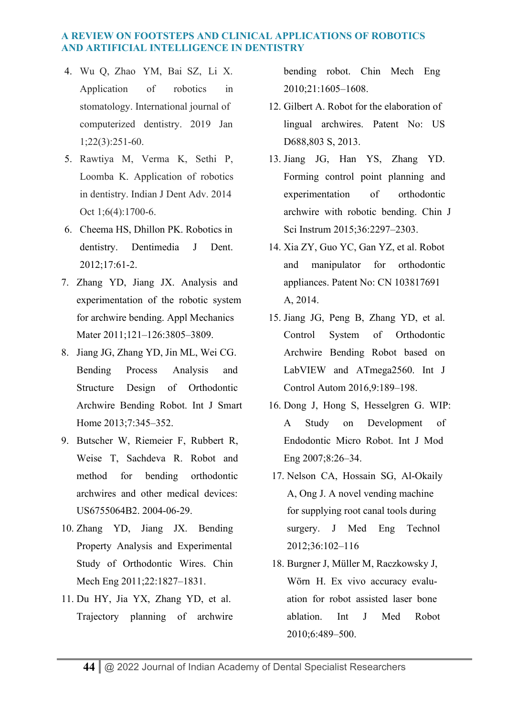- 4. Wu Q, Zhao YM, Bai SZ, Li X. Application of robotics in stomatology. International journal of computerized dentistry. 2019 Jan 1;22(3):251-60.
- 5. Rawtiya M, Verma K, Sethi P, Loomba K. Application of robotics in dentistry. Indian J Dent Adv. 2014 Oct 1;6(4):1700-6.
- 6. Cheema HS, Dhillon PK. Robotics in dentistry. Dentimedia J Dent. 2012;17:61-2.
- 7. Zhang YD, Jiang JX. Analysis and experimentation of the robotic system for archwire bending. Appl Mechanics Mater 2011;121-126:3805-3809.
- 8. Jiang JG, Zhang YD, Jin ML, Wei CG. Bending Process Analysis and Structure Design of Orthodontic Archwire Bending Robot. Int J Smart Home 2013;7:345–352.
- 9. Butscher W, Riemeier F, Rubbert R, Weise T, Sachdeva R. Robot and method for bending orthodontic archwires and other medical devices: US6755064B2. 2004-06-29.
- 10. Zhang YD, Jiang JX. Bending Property Analysis and Experimental Study of Orthodontic Wires. Chin Mech Eng 2011;22:1827–1831.
- 11. Du HY, Jia YX, Zhang YD, et al. Trajectory planning of archwire

bending robot. Chin Mech Eng 2010;21:1605–1608.

- 12. Gilbert A. Robot for the elaboration of lingual archwires. Patent No: US D688,803 S, 2013.
- 13. Jiang JG, Han YS, Zhang YD. Forming control point planning and experimentation of orthodontic archwire with robotic bending. Chin J Sci Instrum 2015;36:2297–2303.
- 14. Xia ZY, Guo YC, Gan YZ, et al. Robot and manipulator for orthodontic appliances. Patent No: CN 103817691 A, 2014.
- 15. Jiang JG, Peng B, Zhang YD, et al. Control System of Orthodontic Archwire Bending Robot based on LabVIEW and ATmega2560. Int J Control Autom 2016,9:189–198.
- 16. Dong J, Hong S, Hesselgren G. WIP: A Study on Development of Endodontic Micro Robot. Int J Mod Eng 2007;8:26–34.
- 17. Nelson CA, Hossain SG, Al-Okaily A, Ong J. A novel vending machine for supplying root canal tools during surgery. J Med Eng Technol 2012;36:102–116
- 18. Burgner J, Müller M, Raczkowsky J, Wörn H. Ex vivo accuracy evaluation for robot assisted laser bone ablation. Int J Med Robot 2010;6:489–500.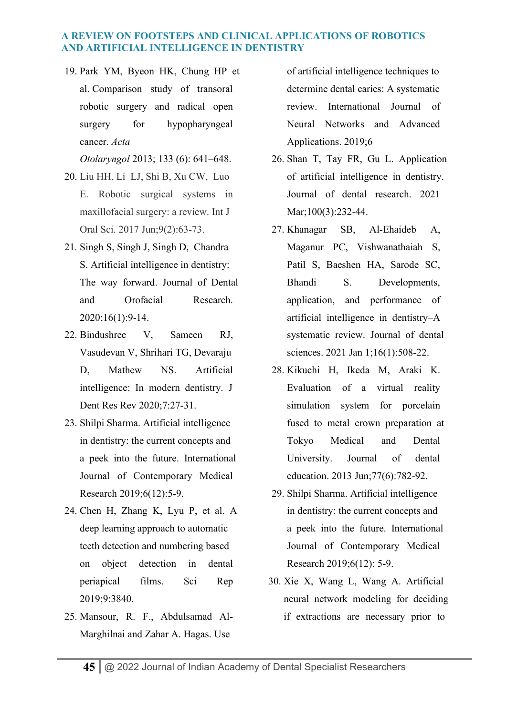19. Park YM, Byeon HK, Chung HP et al. Comparison study of transoral robotic surgery and radical open surgery for hypopharyngeal cancer. *Acta* 

*Otolaryngol* 2013; 133 (6): 641–648.

- 20. Liu HH, Li LJ, Shi B, Xu CW, Luo E. Robotic surgical systems in maxillofacial surgery: a review. Int J Oral Sci. 2017 Jun;9(2):63-73.
- 21. Singh S, Singh J, Singh D, Chandra S. Artificial intelligence in dentistry: The way forward. Journal of Dental and Orofacial Research. 2020;16(1):9-14.
- 22. Bindushree V, Sameen RJ, Vasudevan V, Shrihari TG, Devaraju D, Mathew NS. Artificial intelligence: In modern dentistry. J Dent Res Rev 2020;7:27-31.
- 23. Shilpi Sharma. Artificial intelligence in dentistry: the current concepts and a peek into the future. International Journal of Contemporary Medical Research 2019;6(12):5-9.
- 24. Chen H, Zhang K, Lyu P, et al. A deep learning approach to automatic teeth detection and numbering based on object detection in dental periapical films. Sci Rep 2019;9:3840.
- 25. Mansour, R. F., Abdulsamad Al-Marghilnai and Zahar A. Hagas. Use

of artificial intelligence techniques to determine dental caries: A systematic review. International Journal of Neural Networks and Advanced Applications. 2019;6

- 26. Shan T, Tay FR, Gu L. Application of artificial intelligence in dentistry. Journal of dental research. 2021 Mar;100(3):232-44.
- 27. Khanagar SB, Al-Ehaideb A, Maganur PC, Vishwanathaiah S, Patil S, Baeshen HA, Sarode SC, Bhandi S. Developments, application, and performance of artificial intelligence in dentistry–A systematic review. Journal of dental sciences. 2021 Jan 1;16(1):508-22.
- 28. Kikuchi H, Ikeda M, Araki K. Evaluation of a virtual reality simulation system for porcelain fused to metal crown preparation at Tokyo Medical and Dental University. Journal of dental education. 2013 Jun;77(6):782-92.
- 29. Shilpi Sharma. Artificial intelligence in dentistry: the current concepts and a peek into the future. International Journal of Contemporary Medical Research 2019;6(12): 5-9.
- 30. Xie X, Wang L, Wang A. Artificial neural network modeling for deciding if extractions are necessary prior to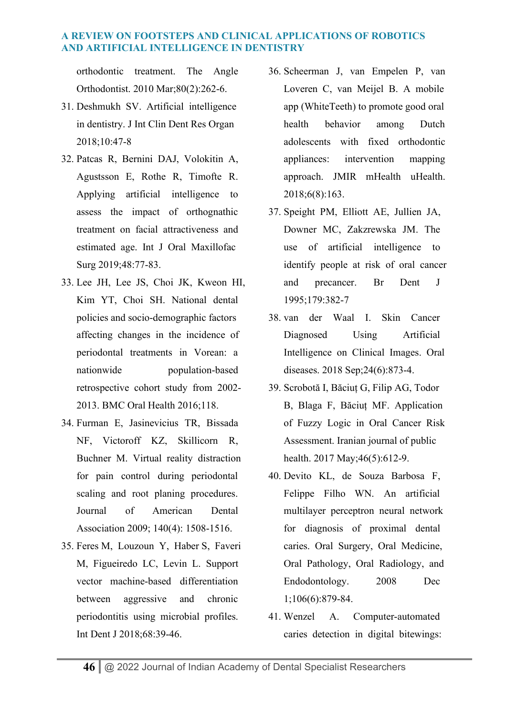orthodontic treatment. The Angle Orthodontist. 2010 Mar;80(2):262-6.

- 31. Deshmukh SV. Artificial intelligence in dentistry. J Int Clin Dent Res Organ 2018;10:47-8
- 32. Patcas R, Bernini DAJ, Volokitin A, Agustsson E, Rothe R, Timofte R. Applying artificial intelligence to assess the impact of orthognathic treatment on facial attractiveness and estimated age. Int J Oral Maxillofac Surg 2019;48:77-83.
- 33. Lee JH, Lee JS, Choi JK, Kweon HI, Kim YT, Choi SH. National dental policies and socio-demographic factors affecting changes in the incidence of periodontal treatments in Vorean: a nationwide population-based retrospective cohort study from 2002- 2013. BMC Oral Health 2016;118.
- 34. Furman E, Jasinevicius TR, Bissada NF, Victoroff KZ, Skillicorn R, Buchner M. Virtual reality distraction for pain control during periodontal scaling and root planing procedures. Journal of American Dental Association 2009; 140(4): 1508-1516.
- 35. Feres M, Louzoun Y, Haber S, Faveri M, Figueiredo LC, Levin L. Support vector machine-based differentiation between aggressive and chronic periodontitis using microbial profiles. Int Dent J 2018;68:39-46.
- 36. Scheerman J, van Empelen P, van Loveren C, van Meijel B. A mobile app (WhiteTeeth) to promote good oral health behavior among Dutch adolescents with fixed orthodontic appliances: intervention mapping approach. JMIR mHealth uHealth. 2018;6(8):163.
- 37. Speight PM, Elliott AE, Jullien JA, Downer MC, Zakzrewska JM. The use of artificial intelligence to identify people at risk of oral cancer and precancer. Br Dent J 1995;179:382-7
- 38. van der Waal I. Skin Cancer Diagnosed Using Artificial Intelligence on Clinical Images. Oral diseases. 2018 Sep;24(6):873-4.
- 39. Scrobotă I, Băciuț G, Filip AG, Todor B, Blaga F, Băciuț MF. Application of Fuzzy Logic in Oral Cancer Risk Assessment. Iranian journal of public health. 2017 May; 46(5): 612-9.
- 40. Devito KL, de Souza Barbosa F, Felippe Filho WN. An artificial multilayer perceptron neural network for diagnosis of proximal dental caries. Oral Surgery, Oral Medicine, Oral Pathology, Oral Radiology, and Endodontology. 2008 Dec 1;106(6):879-84.
- 41. Wenzel A. Computer-automated caries detection in digital bitewings: